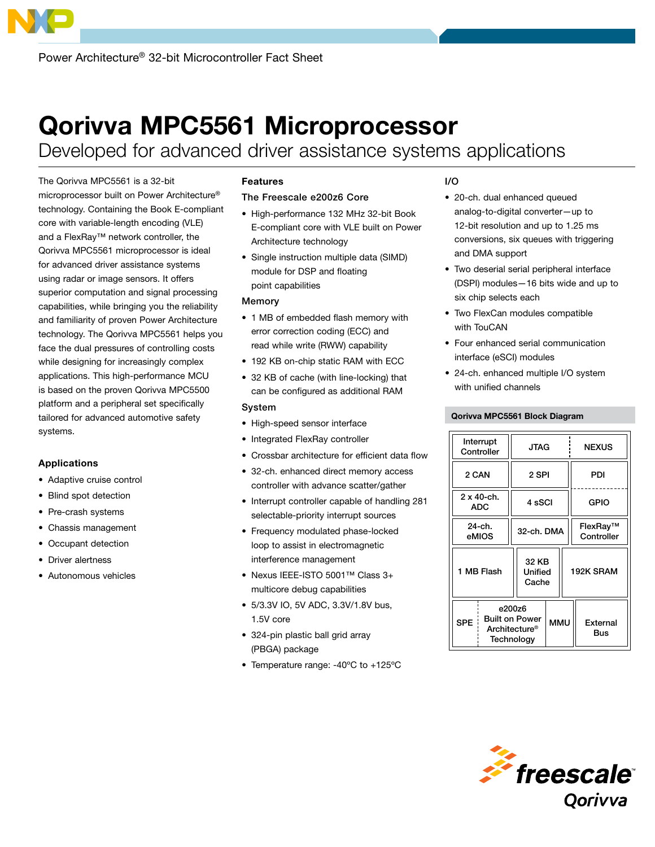# Qorivva MPC5561 Microprocessor

Developed for advanced driver assistance systems applications

The Qorivva MPC5561 is a 32-bit microprocessor built on Power Architecture® technology. Containing the Book E-compliant core with variable-length encoding (VLE) and a FlexRay™ network controller, the Qorivva MPC5561 microprocessor is ideal for advanced driver assistance systems using radar or image sensors. It offers superior computation and signal processing capabilities, while bringing you the reliability and familiarity of proven Power Architecture technology. The Qorivva MPC5561 helps you face the dual pressures of controlling costs while designing for increasingly complex applications. This high-performance MCU is based on the proven Qorivva MPC5500 platform and a peripheral set specifically tailored for advanced automotive safety systems.

## Applications

- • Adaptive cruise control
- • Blind spot detection
- Pre-crash systems
- • Chassis management
- Occupant detection
- Driver alertness
- • Autonomous vehicles

# Features

## The Freescale e200z6 Core

- • High-performance 132 MHz 32-bit Book E-compliant core with VLE built on Power Architecture technology
- Single instruction multiple data (SIMD) module for DSP and floating point capabilities

#### Memory

- 1 MB of embedded flash memory with error correction coding (ECC) and read while write (RWW) capability
- 192 KB on-chip static RAM with ECC
- 32 KB of cache (with line-locking) that can be configured as additional RAM

#### System

- High-speed sensor interface
- Integrated FlexRay controller
- Crossbar architecture for efficient data flow
- 32-ch. enhanced direct memory access controller with advance scatter/gather
- Interrupt controller capable of handling 281 selectable-priority interrupt sources
- Frequency modulated phase-locked loop to assist in electromagnetic interference management
- • Nexus IEEE-ISTO 5001™ Class 3+ multicore debug capabilities
- • 5/3.3V IO, 5V ADC, 3.3V/1.8V bus, 1.5V core
- 324-pin plastic ball grid array (PBGA) package
- Temperature range: -40°C to +125°C

# I/O

- 20-ch. dual enhanced queued analog-to-digital converter—up to 12-bit resolution and up to 1.25 ms conversions, six queues with triggering and DMA support
- Two deserial serial peripheral interface (DSPI) modules—16 bits wide and up to six chip selects each
- • Two FlexCan modules compatible with TouCAN
- Four enhanced serial communication interface (eSCI) modules
- 24-ch. enhanced multiple I/O system with unified channels

### Qorivva MPC5561 Block Diagram

| Interrupt<br>Controller  |                                                                | JTAG                      |            | <b>NEXUS</b>           |  |
|--------------------------|----------------------------------------------------------------|---------------------------|------------|------------------------|--|
| 2 CAN                    |                                                                | 2 SPI                     |            | PDI                    |  |
| 2 x 40-ch.<br><b>ADC</b> |                                                                | 4 sSCI                    |            | <b>GPIO</b>            |  |
| 24-ch.<br>eMIOS          |                                                                | 32-ch. DMA                |            | FlexRay™<br>Controller |  |
| 1 MB Flash               |                                                                | 32 KB<br>Unified<br>Cache |            | 192K SRAM              |  |
| <b>SPE</b>               | e200z6<br><b>Built on Power</b><br>Architecture®<br>Technology |                           | <b>MMU</b> | External<br>Bus        |  |